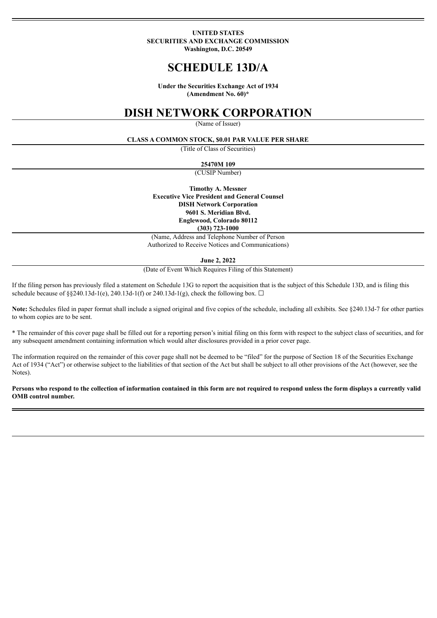#### **UNITED STATES SECURITIES AND EXCHANGE COMMISSION Washington, D.C. 20549**

# **SCHEDULE 13D/A**

**Under the Securities Exchange Act of 1934 (Amendment No. 60)\***

# **DISH NETWORK CORPORATION**

(Name of Issuer)

#### **CLASS A COMMON STOCK, \$0.01 PAR VALUE PER SHARE**

(Title of Class of Securities)

**25470M 109**

(CUSIP Number)

**Timothy A. Messner Executive Vice President and General Counsel DISH Network Corporation 9601 S. Meridian Blvd. Englewood, Colorado 80112 (303) 723-1000**

(Name, Address and Telephone Number of Person Authorized to Receive Notices and Communications)

#### **June 2, 2022**

(Date of Event Which Requires Filing of this Statement)

If the filing person has previously filed a statement on Schedule 13G to report the acquisition that is the subject of this Schedule 13D, and is filing this schedule because of §§240.13d-1(e), 240.13d-1(f) or 240.13d-1(g), check the following box.  $\Box$ 

**Note:** Schedules filed in paper format shall include a signed original and five copies of the schedule, including all exhibits. See §240.13d-7 for other parties to whom copies are to be sent.

\* The remainder of this cover page shall be filled out for a reporting person's initial filing on this form with respect to the subject class of securities, and for any subsequent amendment containing information which would alter disclosures provided in a prior cover page.

The information required on the remainder of this cover page shall not be deemed to be "filed" for the purpose of Section 18 of the Securities Exchange Act of 1934 ("Act") or otherwise subject to the liabilities of that section of the Act but shall be subject to all other provisions of the Act (however, see the Notes).

Persons who respond to the collection of information contained in this form are not required to respond unless the form displays a currently valid **OMB control number.**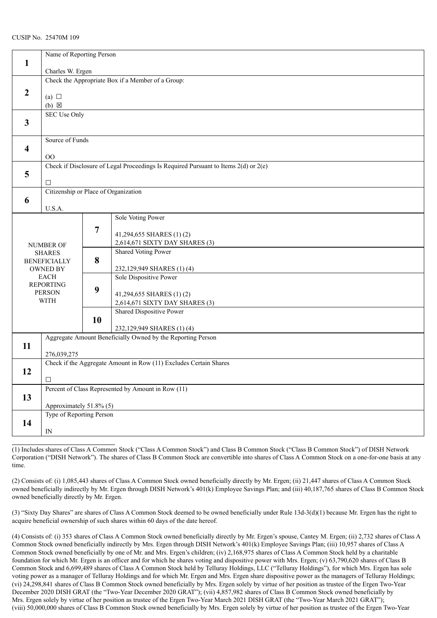|                         |                                                                   | Name of Reporting Person |                                                                                         |  |  |
|-------------------------|-------------------------------------------------------------------|--------------------------|-----------------------------------------------------------------------------------------|--|--|
| $\mathbf{1}$            |                                                                   |                          |                                                                                         |  |  |
|                         | Charles W. Ergen                                                  |                          |                                                                                         |  |  |
|                         | Check the Appropriate Box if a Member of a Group:                 |                          |                                                                                         |  |  |
| $\overline{2}$          |                                                                   |                          |                                                                                         |  |  |
|                         | (a) $\Box$                                                        |                          |                                                                                         |  |  |
|                         | $(b) \boxtimes$                                                   |                          |                                                                                         |  |  |
|                         | <b>SEC Use Only</b>                                               |                          |                                                                                         |  |  |
| $\mathbf{3}$            |                                                                   |                          |                                                                                         |  |  |
|                         |                                                                   |                          |                                                                                         |  |  |
|                         | Source of Funds                                                   |                          |                                                                                         |  |  |
| $\overline{\mathbf{4}}$ |                                                                   |                          |                                                                                         |  |  |
|                         | $\rm{OO}$                                                         |                          |                                                                                         |  |  |
|                         |                                                                   |                          | Check if Disclosure of Legal Proceedings Is Required Pursuant to Items $2(d)$ or $2(e)$ |  |  |
| 5                       |                                                                   |                          |                                                                                         |  |  |
|                         | $\Box$                                                            |                          |                                                                                         |  |  |
|                         | Citizenship or Place of Organization                              |                          |                                                                                         |  |  |
| 6                       |                                                                   |                          |                                                                                         |  |  |
|                         | U.S.A.                                                            |                          |                                                                                         |  |  |
|                         |                                                                   |                          | Sole Voting Power                                                                       |  |  |
|                         |                                                                   | 7                        |                                                                                         |  |  |
|                         |                                                                   |                          | 41,294,655 SHARES (1)(2)                                                                |  |  |
|                         | <b>NUMBER OF</b>                                                  |                          | 2,614,671 SIXTY DAY SHARES (3)                                                          |  |  |
|                         | <b>SHARES</b>                                                     |                          | <b>Shared Voting Power</b>                                                              |  |  |
|                         | <b>BENEFICIALLY</b>                                               | 8                        |                                                                                         |  |  |
|                         | OWNED BY<br><b>EACH</b>                                           |                          | 232,129,949 SHARES (1) (4)<br>Sole Dispositive Power                                    |  |  |
|                         | <b>REPORTING</b>                                                  |                          |                                                                                         |  |  |
|                         | <b>PERSON</b>                                                     | 9                        | 41,294,655 SHARES (1)(2)                                                                |  |  |
|                         | <b>WITH</b>                                                       |                          | 2,614,671 SIXTY DAY SHARES (3)                                                          |  |  |
|                         |                                                                   |                          | Shared Dispositive Power                                                                |  |  |
|                         |                                                                   | 10                       |                                                                                         |  |  |
|                         |                                                                   |                          | 232,129,949 SHARES (1)(4)                                                               |  |  |
|                         |                                                                   |                          | Aggregate Amount Beneficially Owned by the Reporting Person                             |  |  |
| 11                      |                                                                   |                          |                                                                                         |  |  |
|                         | 276,039,275                                                       |                          |                                                                                         |  |  |
|                         |                                                                   |                          |                                                                                         |  |  |
| 12                      | Check if the Aggregate Amount in Row (11) Excludes Certain Shares |                          |                                                                                         |  |  |
|                         | $\Box$                                                            |                          |                                                                                         |  |  |
|                         |                                                                   |                          | Percent of Class Represented by Amount in Row (11)                                      |  |  |
| 13                      |                                                                   |                          |                                                                                         |  |  |
|                         | Approximately 51.8% (5)                                           |                          |                                                                                         |  |  |
|                         | Type of Reporting Person                                          |                          |                                                                                         |  |  |
| 14                      |                                                                   |                          |                                                                                         |  |  |
|                         | $\ensuremath{\mathop{\rm IN}\nolimits}$                           |                          |                                                                                         |  |  |
|                         |                                                                   |                          |                                                                                         |  |  |

(1) Includes shares of Class A Common Stock ("Class A Common Stock") and Class B Common Stock ("Class B Common Stock") of DISH Network Corporation ("DISH Network"). The shares of Class B Common Stock are convertible into shares of Class A Common Stock on a one-for-one basis at any time.

(2) Consists of: (i) 1,085,443 shares of Class A Common Stock owned beneficially directly by Mr. Ergen; (ii) 21,447 shares of Class A Common Stock owned beneficially indirectly by Mr. Ergen through DISH Network's 401(k) Employee Savings Plan; and (iii) 40,187,765 shares of Class B Common Stock owned beneficially directly by Mr. Ergen.

(3) "Sixty Day Shares" are shares of Class A Common Stock deemed to be owned beneficially under Rule 13d-3(d)(1) because Mr. Ergen has the right to acquire beneficial ownership of such shares within 60 days of the date hereof.

(4) Consists of: (i) 353 shares of Class A Common Stock owned beneficially directly by Mr. Ergen's spouse, Cantey M. Ergen; (ii) 2,732 shares of Class A Common Stock owned beneficially indirectly by Mrs. Ergen through DISH Network's 401(k) Employee Savings Plan; (iii) 10,957 shares of Class A Common Stock owned beneficially by one of Mr. and Mrs. Ergen's children; (iv) 2,168,975 shares of Class A Common Stock held by a charitable foundation for which Mr. Ergen is an officer and for which he shares voting and dispositive power with Mrs. Ergen; (v) 63,790,620 shares of Class B Common Stock and 6,699,489 shares of Class A Common Stock held by Telluray Holdings, LLC ("Telluray Holdings"), for which Mrs. Ergen has sole voting power as a manager of Telluray Holdings and for which Mr. Ergen and Mrs. Ergen share dispositive power as the managers of Telluray Holdings; (vi) 24,298,841 shares of Class B Common Stock owned beneficially by Mrs. Ergen solely by virtue of her position as trustee of the Ergen Two-Year December 2020 DISH GRAT (the "Two-Year December 2020 GRAT"); (vii) 4,857,982 shares of Class B Common Stock owned beneficially by Mrs. Ergen solely by virtue of her position as trustee of the Ergen Two-Year March 2021 DISH GRAT (the "Two-Year March 2021 GRAT"); (viii) 50,000,000 shares of Class B Common Stock owned beneficially by Mrs. Ergen solely by virtue of her position as trustee of the Ergen Two-Year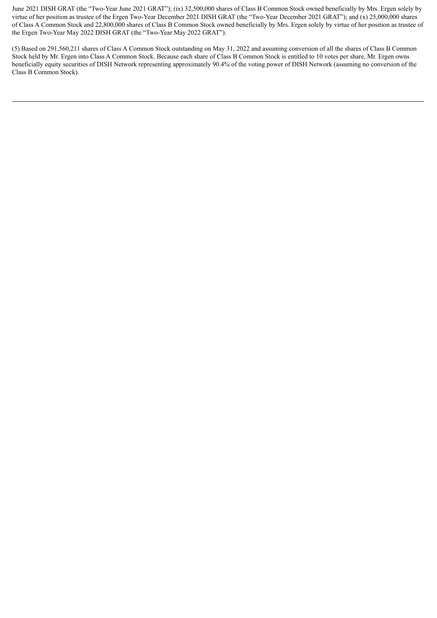June 2021 DISH GRAT (the "Two-Year June 2021 GRAT"); (ix) 32,500,000 shares of Class B Common Stock owned beneficially by Mrs. Ergen solely by virtue of her position as trustee of the Ergen Two-Year December 2021 DISH GRAT (the "Two-Year December 2021 GRAT"); and (x) 25,000,000 shares of Class A Common Stock and 22,800,000 shares of Class B Common Stock owned beneficially by Mrs. Ergen solely by virtue of her position as trustee of the Ergen Two-Year May 2022 DISH GRAT (the "Two-Year May 2022 GRAT").

(5) Based on 291,560,211 shares of Class A Common Stock outstanding on May 31, 2022 and assuming conversion of all the shares of Class B Common Stock held by Mr. Ergen into Class A Common Stock. Because each share of Class B Common Stock is entitled to 10 votes per share, Mr. Ergen owns beneficially equity securities of DISH Network representing approximately 90.4% of the voting power of DISH Network (assuming no conversion of the Class B Common Stock).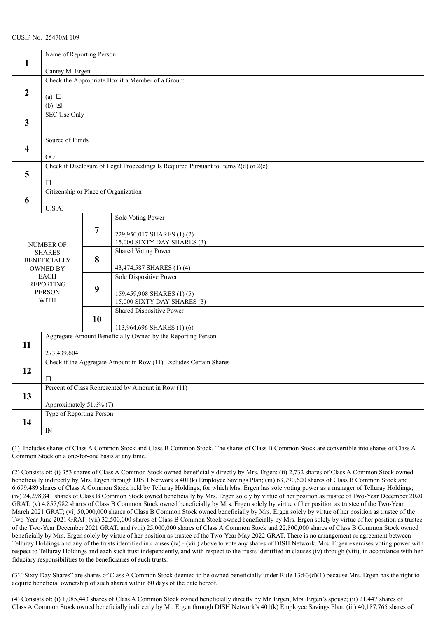|                         | Name of Reporting Person             |                                                   |                                                                                         |  |  |  |
|-------------------------|--------------------------------------|---------------------------------------------------|-----------------------------------------------------------------------------------------|--|--|--|
| $\mathbf{1}$            |                                      |                                                   |                                                                                         |  |  |  |
|                         | Cantey M. Ergen                      |                                                   |                                                                                         |  |  |  |
|                         |                                      | Check the Appropriate Box if a Member of a Group: |                                                                                         |  |  |  |
| $\boldsymbol{2}$        |                                      |                                                   |                                                                                         |  |  |  |
|                         | (a) $\Box$                           |                                                   |                                                                                         |  |  |  |
|                         | $(b)$ $\boxtimes$                    |                                                   |                                                                                         |  |  |  |
|                         | <b>SEC Use Only</b>                  |                                                   |                                                                                         |  |  |  |
| $\mathbf{3}$            |                                      |                                                   |                                                                                         |  |  |  |
|                         |                                      |                                                   |                                                                                         |  |  |  |
|                         | Source of Funds                      |                                                   |                                                                                         |  |  |  |
| $\overline{\mathbf{4}}$ |                                      |                                                   |                                                                                         |  |  |  |
|                         | $\rm{OO}$                            |                                                   |                                                                                         |  |  |  |
|                         |                                      |                                                   | Check if Disclosure of Legal Proceedings Is Required Pursuant to Items $2(d)$ or $2(e)$ |  |  |  |
| 5                       |                                      |                                                   |                                                                                         |  |  |  |
|                         | $\Box$                               |                                                   |                                                                                         |  |  |  |
|                         | Citizenship or Place of Organization |                                                   |                                                                                         |  |  |  |
| 6                       |                                      |                                                   |                                                                                         |  |  |  |
|                         | U.S.A.                               |                                                   |                                                                                         |  |  |  |
|                         |                                      |                                                   | Sole Voting Power                                                                       |  |  |  |
|                         |                                      | 7                                                 |                                                                                         |  |  |  |
|                         |                                      |                                                   | 229,950,017 SHARES (1)(2)                                                               |  |  |  |
|                         | <b>NUMBER OF</b>                     |                                                   | 15,000 SIXTY DAY SHARES (3)                                                             |  |  |  |
|                         | <b>SHARES</b>                        |                                                   | <b>Shared Voting Power</b>                                                              |  |  |  |
|                         | <b>BENEFICIALLY</b>                  | 8                                                 |                                                                                         |  |  |  |
|                         | <b>OWNED BY</b>                      |                                                   | 43,474,587 SHARES (1)(4)                                                                |  |  |  |
|                         | <b>EACH</b>                          |                                                   | Sole Dispositive Power                                                                  |  |  |  |
|                         | <b>REPORTING</b>                     | 9                                                 |                                                                                         |  |  |  |
|                         | <b>PERSON</b>                        |                                                   | 159,459,908 SHARES (1)(5)                                                               |  |  |  |
|                         | <b>WITH</b>                          |                                                   | 15,000 SIXTY DAY SHARES (3)                                                             |  |  |  |
|                         |                                      |                                                   | Shared Dispositive Power                                                                |  |  |  |
|                         |                                      | 10                                                |                                                                                         |  |  |  |
|                         |                                      |                                                   | 113,964,696 SHARES (1)(6)                                                               |  |  |  |
|                         |                                      |                                                   | Aggregate Amount Beneficially Owned by the Reporting Person                             |  |  |  |
| 11                      |                                      |                                                   |                                                                                         |  |  |  |
|                         |                                      | 273,439,604                                       |                                                                                         |  |  |  |
|                         |                                      |                                                   | Check if the Aggregate Amount in Row (11) Excludes Certain Shares                       |  |  |  |
| 12                      |                                      |                                                   |                                                                                         |  |  |  |
|                         |                                      | $\Box$                                            |                                                                                         |  |  |  |
|                         |                                      |                                                   | Percent of Class Represented by Amount in Row (11)                                      |  |  |  |
| 13                      |                                      |                                                   |                                                                                         |  |  |  |
|                         |                                      | Approximately 51.6% (7)                           |                                                                                         |  |  |  |
|                         | Type of Reporting Person             |                                                   |                                                                                         |  |  |  |
| 14                      |                                      |                                                   |                                                                                         |  |  |  |
|                         | ${\rm IN}$                           |                                                   |                                                                                         |  |  |  |
|                         |                                      |                                                   |                                                                                         |  |  |  |

(1) Includes shares of Class A Common Stock and Class B Common Stock. The shares of Class B Common Stock are convertible into shares of Class A Common Stock on a one-for-one basis at any time.

(2) Consists of: (i) 353 shares of Class A Common Stock owned beneficially directly by Mrs. Ergen; (ii) 2,732 shares of Class A Common Stock owned beneficially indirectly by Mrs. Ergen through DISH Network's 401(k) Employee Savings Plan; (iii) 63,790,620 shares of Class B Common Stock and 6,699,489 shares of Class A Common Stock held by Telluray Holdings, for which Mrs. Ergen has sole voting power as a manager of Telluray Holdings; (iv) 24,298,841 shares of Class B Common Stock owned beneficially by Mrs. Ergen solely by virtue of her position as trustee of Two-Year December 2020 GRAT; (v) 4,857,982 shares of Class B Common Stock owned beneficially by Mrs. Ergen solely by virtue of her position as trustee of the Two-Year March 2021 GRAT; (vi) 50,000,000 shares of Class B Common Stock owned beneficially by Mrs. Ergen solely by virtue of her position as trustee of the Two-Year June 2021 GRAT; (vii) 32,500,000 shares of Class B Common Stock owned beneficially by Mrs. Ergen solely by virtue of her position as trustee of the Two-Year December 2021 GRAT; and (viii) 25,000,000 shares of Class A Common Stock and 22,800,000 shares of Class B Common Stock owned beneficially by Mrs. Ergen solely by virtue of her position as trustee of the Two-Year May 2022 GRAT. There is no arrangement or agreement between Telluray Holdings and any of the trusts identified in clauses (iv) - (viii) above to vote any shares of DISH Network. Mrs. Ergen exercises voting power with respect to Telluray Holdings and each such trust independently, and with respect to the trusts identified in clauses (iv) through (viii), in accordance with her fiduciary responsibilities to the beneficiaries of such trusts.

(3) "Sixty Day Shares" are shares of Class A Common Stock deemed to be owned beneficially under Rule 13d-3(d)(1) because Mrs. Ergen has the right to acquire beneficial ownership of such shares within 60 days of the date hereof.

(4) Consists of: (i) 1,085,443 shares of Class A Common Stock owned beneficially directly by Mr. Ergen, Mrs. Ergen's spouse; (ii) 21,447 shares of Class A Common Stock owned beneficially indirectly by Mr. Ergen through DISH Network's 401(k) Employee Savings Plan; (iii) 40,187,765 shares of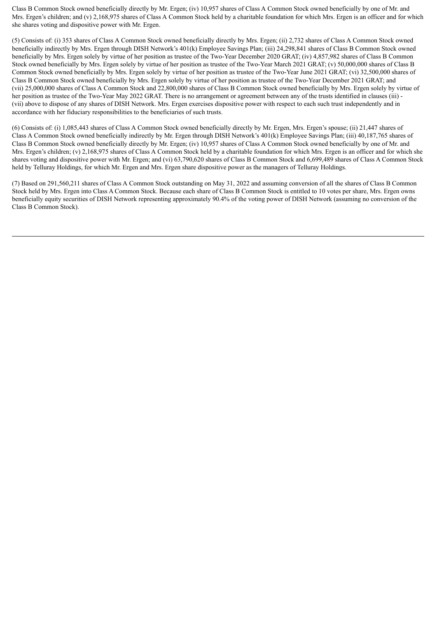Class B Common Stock owned beneficially directly by Mr. Ergen; (iv) 10,957 shares of Class A Common Stock owned beneficially by one of Mr. and Mrs. Ergen's children; and (v) 2,168,975 shares of Class A Common Stock held by a charitable foundation for which Mrs. Ergen is an officer and for which she shares voting and dispositive power with Mr. Ergen.

(5) Consists of: (i) 353 shares of Class A Common Stock owned beneficially directly by Mrs. Ergen; (ii) 2,732 shares of Class A Common Stock owned beneficially indirectly by Mrs. Ergen through DISH Network's 401(k) Employee Savings Plan; (iii) 24,298,841 shares of Class B Common Stock owned beneficially by Mrs. Ergen solely by virtue of her position as trustee of the Two-Year December 2020 GRAT; (iv) 4,857,982 shares of Class B Common Stock owned beneficially by Mrs. Ergen solely by virtue of her position as trustee of the Two-Year March 2021 GRAT; (v) 50,000,000 shares of Class B Common Stock owned beneficially by Mrs. Ergen solely by virtue of her position as trustee of the Two-Year June 2021 GRAT; (vi) 32,500,000 shares of Class B Common Stock owned beneficially by Mrs. Ergen solely by virtue of her position as trustee of the Two-Year December 2021 GRAT; and (vii) 25,000,000 shares of Class A Common Stock and 22,800,000 shares of Class B Common Stock owned beneficially by Mrs. Ergen solely by virtue of her position as trustee of the Two-Year May 2022 GRAT. There is no arrangement or agreement between any of the trusts identified in clauses (iii) - (vii) above to dispose of any shares of DISH Network. Mrs. Ergen exercises dispositive power with respect to each such trust independently and in accordance with her fiduciary responsibilities to the beneficiaries of such trusts.

(6) Consists of: (i) 1,085,443 shares of Class A Common Stock owned beneficially directly by Mr. Ergen, Mrs. Ergen's spouse; (ii) 21,447 shares of Class A Common Stock owned beneficially indirectly by Mr. Ergen through DISH Network's 401(k) Employee Savings Plan; (iii) 40,187,765 shares of Class B Common Stock owned beneficially directly by Mr. Ergen; (iv) 10,957 shares of Class A Common Stock owned beneficially by one of Mr. and Mrs. Ergen's children; (v) 2,168,975 shares of Class A Common Stock held by a charitable foundation for which Mrs. Ergen is an officer and for which she shares voting and dispositive power with Mr. Ergen; and (vi) 63,790,620 shares of Class B Common Stock and 6,699,489 shares of Class A Common Stock held by Telluray Holdings, for which Mr. Ergen and Mrs. Ergen share dispositive power as the managers of Telluray Holdings.

(7) Based on 291,560,211 shares of Class A Common Stock outstanding on May 31, 2022 and assuming conversion of all the shares of Class B Common Stock held by Mrs. Ergen into Class A Common Stock. Because each share of Class B Common Stock is entitled to 10 votes per share, Mrs. Ergen owns beneficially equity securities of DISH Network representing approximately 90.4% of the voting power of DISH Network (assuming no conversion of the Class B Common Stock).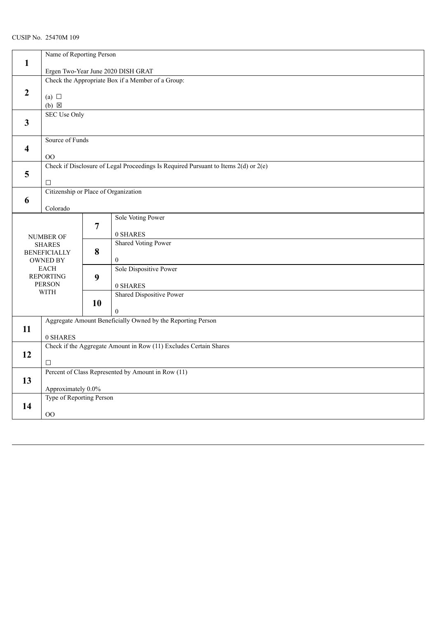|                         |                                                                                                   | Name of Reporting Person                                                                |                                                |  |  |  |
|-------------------------|---------------------------------------------------------------------------------------------------|-----------------------------------------------------------------------------------------|------------------------------------------------|--|--|--|
| $\mathbf{1}$            |                                                                                                   |                                                                                         |                                                |  |  |  |
|                         |                                                                                                   | Ergen Two-Year June 2020 DISH GRAT<br>Check the Appropriate Box if a Member of a Group: |                                                |  |  |  |
| $\overline{2}$          | (a) $\Box$<br>$(b)$ $\boxtimes$                                                                   |                                                                                         |                                                |  |  |  |
| $\overline{\mathbf{3}}$ |                                                                                                   | <b>SEC Use Only</b>                                                                     |                                                |  |  |  |
| $\overline{\mathbf{4}}$ | 00                                                                                                | Source of Funds                                                                         |                                                |  |  |  |
| 5                       | Check if Disclosure of Legal Proceedings Is Required Pursuant to Items $2(d)$ or $2(e)$<br>$\Box$ |                                                                                         |                                                |  |  |  |
| 6                       | Citizenship or Place of Organization<br>Colorado                                                  |                                                                                         |                                                |  |  |  |
| <b>NUMBER OF</b>        |                                                                                                   | $\overline{7}$                                                                          | Sole Voting Power<br>0 SHARES                  |  |  |  |
|                         | <b>SHARES</b><br><b>BENEFICIALLY</b><br><b>OWNED BY</b>                                           | 8                                                                                       | <b>Shared Voting Power</b><br>$\boldsymbol{0}$ |  |  |  |
|                         | <b>EACH</b><br><b>REPORTING</b><br><b>PERSON</b>                                                  | 9                                                                                       | Sole Dispositive Power<br>0 SHARES             |  |  |  |
|                         | <b>WITH</b>                                                                                       | 10                                                                                      | Shared Dispositive Power<br>$\theta$           |  |  |  |
| 11                      | Aggregate Amount Beneficially Owned by the Reporting Person<br>0 SHARES                           |                                                                                         |                                                |  |  |  |
| 12                      | Check if the Aggregate Amount in Row (11) Excludes Certain Shares<br>$\Box$                       |                                                                                         |                                                |  |  |  |
| 13                      | Percent of Class Represented by Amount in Row (11)<br>Approximately 0.0%                          |                                                                                         |                                                |  |  |  |
| 14                      | Type of Reporting Person<br>$00\,$                                                                |                                                                                         |                                                |  |  |  |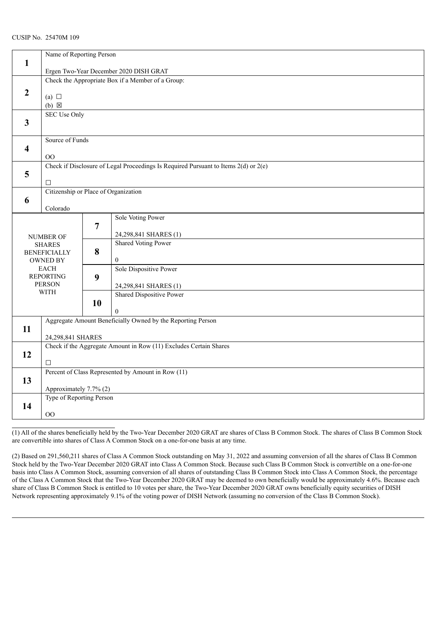|                         | Name of Reporting Person<br>$\mathbf{1}$          |                          |                                                                                         |  |  |  |
|-------------------------|---------------------------------------------------|--------------------------|-----------------------------------------------------------------------------------------|--|--|--|
|                         | Ergen Two-Year December 2020 DISH GRAT            |                          |                                                                                         |  |  |  |
|                         | Check the Appropriate Box if a Member of a Group: |                          |                                                                                         |  |  |  |
|                         |                                                   |                          |                                                                                         |  |  |  |
| $\overline{2}$          | (a) $\Box$                                        |                          |                                                                                         |  |  |  |
|                         | $(b) \boxtimes$                                   |                          |                                                                                         |  |  |  |
|                         | <b>SEC Use Only</b>                               |                          |                                                                                         |  |  |  |
| $\overline{\mathbf{3}}$ |                                                   |                          |                                                                                         |  |  |  |
|                         |                                                   |                          |                                                                                         |  |  |  |
|                         |                                                   | Source of Funds          |                                                                                         |  |  |  |
| 4                       |                                                   |                          |                                                                                         |  |  |  |
|                         | 00                                                |                          |                                                                                         |  |  |  |
|                         |                                                   |                          | Check if Disclosure of Legal Proceedings Is Required Pursuant to Items $2(d)$ or $2(e)$ |  |  |  |
| 5                       |                                                   |                          |                                                                                         |  |  |  |
|                         | $\Box$                                            |                          |                                                                                         |  |  |  |
|                         | Citizenship or Place of Organization              |                          |                                                                                         |  |  |  |
| 6                       |                                                   |                          |                                                                                         |  |  |  |
|                         | Colorado                                          |                          |                                                                                         |  |  |  |
|                         |                                                   |                          | Sole Voting Power                                                                       |  |  |  |
|                         |                                                   | $\overline{7}$           |                                                                                         |  |  |  |
|                         | <b>NUMBER OF</b>                                  |                          | 24,298,841 SHARES (1)<br><b>Shared Voting Power</b>                                     |  |  |  |
|                         | <b>SHARES</b>                                     | 8                        |                                                                                         |  |  |  |
|                         | <b>BENEFICIALLY</b><br><b>OWNED BY</b>            |                          | $\mathbf{0}$                                                                            |  |  |  |
|                         | <b>EACH</b>                                       | 9                        | Sole Dispositive Power                                                                  |  |  |  |
|                         | <b>REPORTING</b>                                  |                          |                                                                                         |  |  |  |
|                         | <b>PERSON</b>                                     |                          | 24,298,841 SHARES (1)                                                                   |  |  |  |
|                         | <b>WITH</b>                                       |                          | <b>Shared Dispositive Power</b>                                                         |  |  |  |
|                         |                                                   | 10                       |                                                                                         |  |  |  |
|                         |                                                   |                          | $\theta$                                                                                |  |  |  |
|                         |                                                   |                          | Aggregate Amount Beneficially Owned by the Reporting Person                             |  |  |  |
| 11                      |                                                   |                          |                                                                                         |  |  |  |
|                         | 24,298,841 SHARES                                 |                          |                                                                                         |  |  |  |
|                         |                                                   |                          | Check if the Aggregate Amount in Row (11) Excludes Certain Shares                       |  |  |  |
| 12                      |                                                   |                          |                                                                                         |  |  |  |
|                         | $\Box$                                            |                          |                                                                                         |  |  |  |
|                         |                                                   |                          | Percent of Class Represented by Amount in Row (11)                                      |  |  |  |
| 13                      |                                                   |                          |                                                                                         |  |  |  |
|                         | Approximately 7.7% (2)                            |                          |                                                                                         |  |  |  |
|                         |                                                   | Type of Reporting Person |                                                                                         |  |  |  |
| 14                      | 00                                                |                          |                                                                                         |  |  |  |
|                         |                                                   |                          |                                                                                         |  |  |  |

(1) All of the shares beneficially held by the Two-Year December 2020 GRAT are shares of Class B Common Stock. The shares of Class B Common Stock are convertible into shares of Class A Common Stock on a one-for-one basis at any time.

(2) Based on 291,560,211 shares of Class A Common Stock outstanding on May 31, 2022 and assuming conversion of all the shares of Class B Common Stock held by the Two-Year December 2020 GRAT into Class A Common Stock. Because such Class B Common Stock is convertible on a one-for-one basis into Class A Common Stock, assuming conversion of all shares of outstanding Class B Common Stock into Class A Common Stock, the percentage of the Class A Common Stock that the Two-Year December 2020 GRAT may be deemed to own beneficially would be approximately 4.6%. Because each share of Class B Common Stock is entitled to 10 votes per share, the Two-Year December 2020 GRAT owns beneficially equity securities of DISH Network representing approximately 9.1% of the voting power of DISH Network (assuming no conversion of the Class B Common Stock).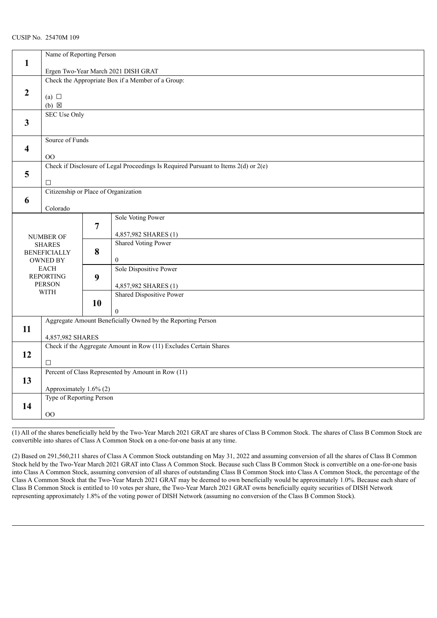|                         | Name of Reporting Person                          |                        |                                                                                         |  |  |  |
|-------------------------|---------------------------------------------------|------------------------|-----------------------------------------------------------------------------------------|--|--|--|
| $\mathbf{1}$            | Ergen Two-Year March 2021 DISH GRAT               |                        |                                                                                         |  |  |  |
|                         | Check the Appropriate Box if a Member of a Group: |                        |                                                                                         |  |  |  |
|                         |                                                   |                        |                                                                                         |  |  |  |
| $\overline{2}$          | (a) $\Box$                                        |                        |                                                                                         |  |  |  |
|                         | $(b) \boxtimes$                                   |                        |                                                                                         |  |  |  |
|                         | <b>SEC Use Only</b>                               |                        |                                                                                         |  |  |  |
| $\overline{\mathbf{3}}$ |                                                   |                        |                                                                                         |  |  |  |
|                         |                                                   |                        |                                                                                         |  |  |  |
|                         | Source of Funds                                   |                        |                                                                                         |  |  |  |
| 4                       |                                                   |                        |                                                                                         |  |  |  |
|                         | OO                                                |                        |                                                                                         |  |  |  |
|                         |                                                   |                        | Check if Disclosure of Legal Proceedings Is Required Pursuant to Items $2(d)$ or $2(e)$ |  |  |  |
| 5                       |                                                   |                        |                                                                                         |  |  |  |
|                         | $\Box$                                            |                        |                                                                                         |  |  |  |
|                         | Citizenship or Place of Organization              |                        |                                                                                         |  |  |  |
| 6                       |                                                   |                        |                                                                                         |  |  |  |
|                         | Colorado                                          |                        |                                                                                         |  |  |  |
|                         |                                                   |                        | Sole Voting Power                                                                       |  |  |  |
|                         |                                                   | $\overline{7}$         |                                                                                         |  |  |  |
|                         | <b>NUMBER OF</b>                                  |                        | 4,857,982 SHARES (1)                                                                    |  |  |  |
|                         | <b>SHARES</b>                                     | 8                      | <b>Shared Voting Power</b>                                                              |  |  |  |
|                         | <b>BENEFICIALLY</b><br><b>OWNED BY</b>            |                        | $\overline{0}$                                                                          |  |  |  |
|                         | <b>EACH</b>                                       |                        | Sole Dispositive Power                                                                  |  |  |  |
|                         | <b>REPORTING</b>                                  | 9                      |                                                                                         |  |  |  |
|                         | <b>PERSON</b>                                     |                        | 4,857,982 SHARES (1)                                                                    |  |  |  |
|                         | <b>WITH</b>                                       |                        | <b>Shared Dispositive Power</b>                                                         |  |  |  |
|                         |                                                   | 10                     |                                                                                         |  |  |  |
|                         |                                                   |                        | $\theta$                                                                                |  |  |  |
|                         |                                                   |                        | Aggregate Amount Beneficially Owned by the Reporting Person                             |  |  |  |
| 11                      |                                                   |                        |                                                                                         |  |  |  |
|                         | 4,857,982 SHARES                                  |                        |                                                                                         |  |  |  |
|                         |                                                   |                        | Check if the Aggregate Amount in Row (11) Excludes Certain Shares                       |  |  |  |
| 12                      |                                                   |                        |                                                                                         |  |  |  |
|                         | $\Box$                                            |                        |                                                                                         |  |  |  |
|                         |                                                   |                        | Percent of Class Represented by Amount in Row (11)                                      |  |  |  |
| 13                      |                                                   |                        |                                                                                         |  |  |  |
|                         |                                                   | Approximately 1.6% (2) |                                                                                         |  |  |  |
|                         | Type of Reporting Person                          |                        |                                                                                         |  |  |  |
| 14                      |                                                   |                        |                                                                                         |  |  |  |
|                         | 00                                                |                        |                                                                                         |  |  |  |

(1) All of the shares beneficially held by the Two-Year March 2021 GRAT are shares of Class B Common Stock. The shares of Class B Common Stock are convertible into shares of Class A Common Stock on a one-for-one basis at any time.

(2) Based on 291,560,211 shares of Class A Common Stock outstanding on May 31, 2022 and assuming conversion of all the shares of Class B Common Stock held by the Two-Year March 2021 GRAT into Class A Common Stock. Because such Class B Common Stock is convertible on a one-for-one basis into Class A Common Stock, assuming conversion of all shares of outstanding Class B Common Stock into Class A Common Stock, the percentage of the Class A Common Stock that the Two-Year March 2021 GRAT may be deemed to own beneficially would be approximately 1.0%. Because each share of Class B Common Stock is entitled to 10 votes per share, the Two-Year March 2021 GRAT owns beneficially equity securities of DISH Network representing approximately 1.8% of the voting power of DISH Network (assuming no conversion of the Class B Common Stock).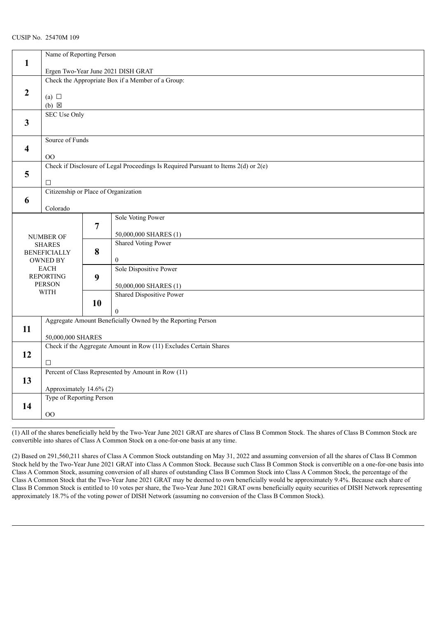| $\mathbf{1}$            | Name of Reporting Person               |                                                   |                                                                                         |  |  |  |
|-------------------------|----------------------------------------|---------------------------------------------------|-----------------------------------------------------------------------------------------|--|--|--|
|                         |                                        | Ergen Two-Year June 2021 DISH GRAT                |                                                                                         |  |  |  |
|                         |                                        | Check the Appropriate Box if a Member of a Group: |                                                                                         |  |  |  |
|                         |                                        |                                                   |                                                                                         |  |  |  |
| $\overline{2}$          | (a) $\Box$                             |                                                   |                                                                                         |  |  |  |
|                         | $(b) \boxtimes$                        |                                                   |                                                                                         |  |  |  |
|                         | <b>SEC Use Only</b>                    |                                                   |                                                                                         |  |  |  |
| $\overline{\mathbf{3}}$ |                                        |                                                   |                                                                                         |  |  |  |
|                         |                                        |                                                   |                                                                                         |  |  |  |
|                         | Source of Funds                        |                                                   |                                                                                         |  |  |  |
| 4                       |                                        |                                                   |                                                                                         |  |  |  |
|                         | 00                                     |                                                   | Check if Disclosure of Legal Proceedings Is Required Pursuant to Items $2(d)$ or $2(e)$ |  |  |  |
| 5                       |                                        |                                                   |                                                                                         |  |  |  |
|                         | $\Box$                                 |                                                   |                                                                                         |  |  |  |
|                         | Citizenship or Place of Organization   |                                                   |                                                                                         |  |  |  |
| 6                       |                                        |                                                   |                                                                                         |  |  |  |
|                         | Colorado                               |                                                   |                                                                                         |  |  |  |
|                         |                                        |                                                   | Sole Voting Power                                                                       |  |  |  |
|                         |                                        | 7                                                 |                                                                                         |  |  |  |
|                         | <b>NUMBER OF</b>                       |                                                   | 50,000,000 SHARES (1)                                                                   |  |  |  |
|                         | <b>SHARES</b>                          | 8                                                 | <b>Shared Voting Power</b>                                                              |  |  |  |
|                         | <b>BENEFICIALLY</b><br><b>OWNED BY</b> |                                                   | $\overline{0}$                                                                          |  |  |  |
|                         | <b>EACH</b>                            |                                                   | Sole Dispositive Power                                                                  |  |  |  |
|                         | <b>REPORTING</b>                       | 9                                                 |                                                                                         |  |  |  |
|                         | <b>PERSON</b>                          |                                                   | 50,000,000 SHARES (1)                                                                   |  |  |  |
|                         | <b>WITH</b>                            |                                                   | <b>Shared Dispositive Power</b>                                                         |  |  |  |
|                         |                                        | 10                                                |                                                                                         |  |  |  |
|                         |                                        |                                                   | $\Omega$                                                                                |  |  |  |
|                         |                                        |                                                   | Aggregate Amount Beneficially Owned by the Reporting Person                             |  |  |  |
| 11                      | 50,000,000 SHARES                      |                                                   |                                                                                         |  |  |  |
|                         |                                        |                                                   | Check if the Aggregate Amount in Row (11) Excludes Certain Shares                       |  |  |  |
| 12                      |                                        |                                                   |                                                                                         |  |  |  |
|                         | $\Box$                                 |                                                   |                                                                                         |  |  |  |
|                         |                                        |                                                   | Percent of Class Represented by Amount in Row (11)                                      |  |  |  |
| 13                      |                                        |                                                   |                                                                                         |  |  |  |
|                         | Approximately 14.6% (2)                |                                                   |                                                                                         |  |  |  |
|                         | Type of Reporting Person               |                                                   |                                                                                         |  |  |  |
| 14                      |                                        |                                                   |                                                                                         |  |  |  |
|                         | 00                                     |                                                   |                                                                                         |  |  |  |

(1) All of the shares beneficially held by the Two-Year June 2021 GRAT are shares of Class B Common Stock. The shares of Class B Common Stock are convertible into shares of Class A Common Stock on a one-for-one basis at any time.

(2) Based on 291,560,211 shares of Class A Common Stock outstanding on May 31, 2022 and assuming conversion of all the shares of Class B Common Stock held by the Two-Year June 2021 GRAT into Class A Common Stock. Because such Class B Common Stock is convertible on a one-for-one basis into Class A Common Stock, assuming conversion of all shares of outstanding Class B Common Stock into Class A Common Stock, the percentage of the Class A Common Stock that the Two-Year June 2021 GRAT may be deemed to own beneficially would be approximately 9.4%. Because each share of Class B Common Stock is entitled to 10 votes per share, the Two-Year June 2021 GRAT owns beneficially equity securities of DISH Network representing approximately 18.7% of the voting power of DISH Network (assuming no conversion of the Class B Common Stock).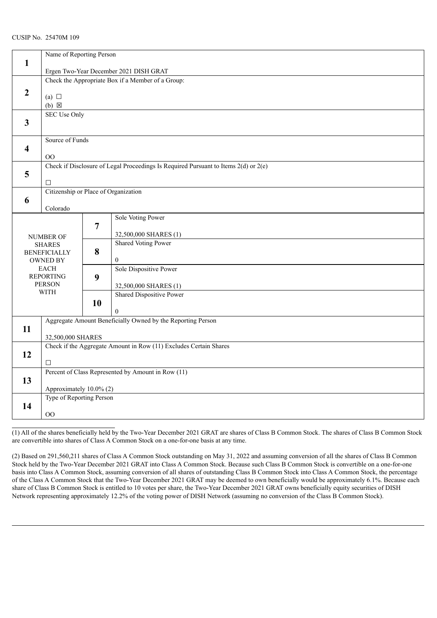| $\mathbf{1}$        | Name of Reporting Person                          |                |                                                                                         |  |  |  |
|---------------------|---------------------------------------------------|----------------|-----------------------------------------------------------------------------------------|--|--|--|
|                     | Ergen Two-Year December 2021 DISH GRAT            |                |                                                                                         |  |  |  |
|                     | Check the Appropriate Box if a Member of a Group: |                |                                                                                         |  |  |  |
|                     |                                                   |                |                                                                                         |  |  |  |
| $\boldsymbol{2}$    | (a) $\Box$                                        |                |                                                                                         |  |  |  |
|                     | $(b) \boxtimes$                                   |                |                                                                                         |  |  |  |
| <b>SEC Use Only</b> |                                                   |                |                                                                                         |  |  |  |
| 3                   |                                                   |                |                                                                                         |  |  |  |
|                     |                                                   |                |                                                                                         |  |  |  |
|                     | Source of Funds                                   |                |                                                                                         |  |  |  |
| 4                   | $00\,$                                            |                |                                                                                         |  |  |  |
|                     |                                                   |                | Check if Disclosure of Legal Proceedings Is Required Pursuant to Items $2(d)$ or $2(e)$ |  |  |  |
| 5                   |                                                   |                |                                                                                         |  |  |  |
|                     | $\Box$                                            |                |                                                                                         |  |  |  |
|                     | Citizenship or Place of Organization              |                |                                                                                         |  |  |  |
| 6                   |                                                   |                |                                                                                         |  |  |  |
|                     | Colorado                                          |                |                                                                                         |  |  |  |
|                     |                                                   |                | Sole Voting Power                                                                       |  |  |  |
|                     |                                                   | $\overline{7}$ |                                                                                         |  |  |  |
|                     | NUMBER OF                                         |                | 32,500,000 SHARES (1)<br><b>Shared Voting Power</b>                                     |  |  |  |
|                     | <b>SHARES</b><br><b>BENEFICIALLY</b>              | 8              |                                                                                         |  |  |  |
|                     | <b>OWNED BY</b>                                   |                | $\mathbf{0}$                                                                            |  |  |  |
|                     | <b>EACH</b>                                       |                | Sole Dispositive Power                                                                  |  |  |  |
|                     | <b>REPORTING</b>                                  | 9              |                                                                                         |  |  |  |
|                     | <b>PERSON</b>                                     |                | 32,500,000 SHARES (1)                                                                   |  |  |  |
|                     | <b>WITH</b>                                       |                | <b>Shared Dispositive Power</b>                                                         |  |  |  |
|                     |                                                   | 10             |                                                                                         |  |  |  |
|                     |                                                   |                | $\theta$                                                                                |  |  |  |
| 11                  |                                                   |                | Aggregate Amount Beneficially Owned by the Reporting Person                             |  |  |  |
|                     | 32,500,000 SHARES                                 |                |                                                                                         |  |  |  |
|                     |                                                   |                | Check if the Aggregate Amount in Row (11) Excludes Certain Shares                       |  |  |  |
| 12                  |                                                   |                |                                                                                         |  |  |  |
|                     | $\Box$                                            |                |                                                                                         |  |  |  |
|                     |                                                   |                | Percent of Class Represented by Amount in Row (11)                                      |  |  |  |
| 13                  | Approximately 10.0% (2)                           |                |                                                                                         |  |  |  |
|                     |                                                   |                |                                                                                         |  |  |  |
| 14                  | Type of Reporting Person                          |                |                                                                                         |  |  |  |
|                     | 00                                                |                |                                                                                         |  |  |  |
|                     |                                                   |                |                                                                                         |  |  |  |

(1) All of the shares beneficially held by the Two-Year December 2021 GRAT are shares of Class B Common Stock. The shares of Class B Common Stock are convertible into shares of Class A Common Stock on a one-for-one basis at any time.

(2) Based on 291,560,211 shares of Class A Common Stock outstanding on May 31, 2022 and assuming conversion of all the shares of Class B Common Stock held by the Two-Year December 2021 GRAT into Class A Common Stock. Because such Class B Common Stock is convertible on a one-for-one basis into Class A Common Stock, assuming conversion of all shares of outstanding Class B Common Stock into Class A Common Stock, the percentage of the Class A Common Stock that the Two-Year December 2021 GRAT may be deemed to own beneficially would be approximately 6.1%. Because each share of Class B Common Stock is entitled to 10 votes per share, the Two-Year December 2021 GRAT owns beneficially equity securities of DISH Network representing approximately 12.2% of the voting power of DISH Network (assuming no conversion of the Class B Common Stock).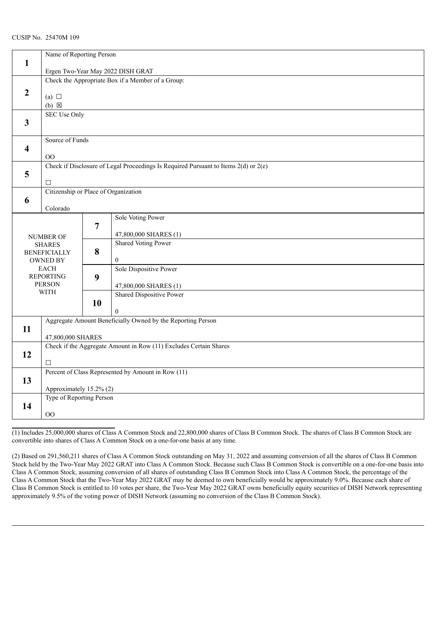|                         | Name of Reporting Person                          |                                   |                                                                                         |  |  |  |
|-------------------------|---------------------------------------------------|-----------------------------------|-----------------------------------------------------------------------------------------|--|--|--|
| $\mathbf{1}$            |                                                   |                                   |                                                                                         |  |  |  |
|                         |                                                   | Ergen Two-Year May 2022 DISH GRAT |                                                                                         |  |  |  |
|                         | Check the Appropriate Box if a Member of a Group: |                                   |                                                                                         |  |  |  |
|                         |                                                   |                                   |                                                                                         |  |  |  |
| $\overline{2}$          | (a) $\Box$                                        |                                   |                                                                                         |  |  |  |
|                         | $(b) \boxtimes$                                   |                                   |                                                                                         |  |  |  |
|                         | <b>SEC Use Only</b>                               |                                   |                                                                                         |  |  |  |
| $\overline{\mathbf{3}}$ |                                                   |                                   |                                                                                         |  |  |  |
|                         |                                                   |                                   |                                                                                         |  |  |  |
|                         | Source of Funds                                   |                                   |                                                                                         |  |  |  |
| 4                       |                                                   |                                   |                                                                                         |  |  |  |
|                         | $00\,$                                            |                                   | Check if Disclosure of Legal Proceedings Is Required Pursuant to Items $2(d)$ or $2(e)$ |  |  |  |
| 5                       |                                                   |                                   |                                                                                         |  |  |  |
|                         | $\Box$                                            |                                   |                                                                                         |  |  |  |
|                         | Citizenship or Place of Organization              |                                   |                                                                                         |  |  |  |
| 6                       |                                                   |                                   |                                                                                         |  |  |  |
|                         | Colorado                                          |                                   |                                                                                         |  |  |  |
|                         |                                                   |                                   | Sole Voting Power                                                                       |  |  |  |
|                         |                                                   | 7                                 |                                                                                         |  |  |  |
|                         | <b>NUMBER OF</b>                                  |                                   | 47,800,000 SHARES (1)                                                                   |  |  |  |
|                         | <b>SHARES</b>                                     |                                   | <b>Shared Voting Power</b>                                                              |  |  |  |
|                         | <b>BENEFICIALLY</b>                               | 8                                 |                                                                                         |  |  |  |
|                         | <b>OWNED BY</b><br><b>EACH</b>                    |                                   | $\boldsymbol{0}$<br>Sole Dispositive Power                                              |  |  |  |
|                         | <b>REPORTING</b>                                  | 9                                 |                                                                                         |  |  |  |
|                         | <b>PERSON</b>                                     |                                   | 47,800,000 SHARES (1)                                                                   |  |  |  |
|                         | <b>WITH</b>                                       |                                   | <b>Shared Dispositive Power</b>                                                         |  |  |  |
|                         |                                                   | 10                                |                                                                                         |  |  |  |
|                         |                                                   |                                   | $\overline{0}$                                                                          |  |  |  |
|                         |                                                   |                                   | Aggregate Amount Beneficially Owned by the Reporting Person                             |  |  |  |
| 11                      |                                                   |                                   |                                                                                         |  |  |  |
|                         | 47,800,000 SHARES                                 |                                   |                                                                                         |  |  |  |
|                         |                                                   |                                   | Check if the Aggregate Amount in Row (11) Excludes Certain Shares                       |  |  |  |
| 12                      | $\Box$                                            |                                   |                                                                                         |  |  |  |
|                         |                                                   |                                   | Percent of Class Represented by Amount in Row (11)                                      |  |  |  |
| 13                      |                                                   |                                   |                                                                                         |  |  |  |
|                         | Approximately 15.2% (2)                           |                                   |                                                                                         |  |  |  |
|                         | Type of Reporting Person                          |                                   |                                                                                         |  |  |  |
| 14                      |                                                   |                                   |                                                                                         |  |  |  |
|                         | 00                                                |                                   |                                                                                         |  |  |  |

(1) Includes 25,000,000 shares of Class A Common Stock and 22,800,000 shares of Class B Common Stock. The shares of Class B Common Stock are convertible into shares of Class A Common Stock on a one-for-one basis at any time.

(2) Based on 291,560,211 shares of Class A Common Stock outstanding on May 31, 2022 and assuming conversion of all the shares of Class B Common Stock held by the Two-Year May 2022 GRAT into Class A Common Stock. Because such Class B Common Stock is convertible on a one-for-one basis into Class A Common Stock, assuming conversion of all shares of outstanding Class B Common Stock into Class A Common Stock, the percentage of the Class A Common Stock that the Two-Year May 2022 GRAT may be deemed to own beneficially would be approximately 9.0%. Because each share of Class B Common Stock is entitled to 10 votes per share, the Two-Year May 2022 GRAT owns beneficially equity securities of DISH Network representing approximately 9.5% of the voting power of DISH Network (assuming no conversion of the Class B Common Stock).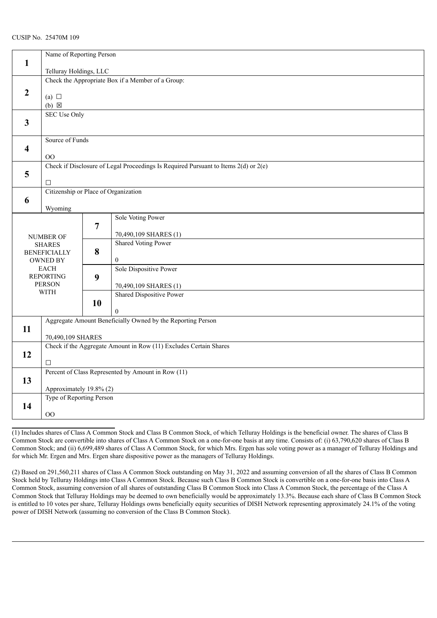|                         | Name of Reporting Person               |                                                   |                                                                                         |  |  |  |
|-------------------------|----------------------------------------|---------------------------------------------------|-----------------------------------------------------------------------------------------|--|--|--|
| $\mathbf{1}$            | Telluray Holdings, LLC                 |                                                   |                                                                                         |  |  |  |
|                         |                                        | Check the Appropriate Box if a Member of a Group: |                                                                                         |  |  |  |
|                         |                                        |                                                   |                                                                                         |  |  |  |
| $\overline{2}$          | (a) $\Box$                             |                                                   |                                                                                         |  |  |  |
|                         | $(b) \boxtimes$                        |                                                   |                                                                                         |  |  |  |
|                         | <b>SEC Use Only</b>                    |                                                   |                                                                                         |  |  |  |
| $\mathbf{3}$            |                                        |                                                   |                                                                                         |  |  |  |
|                         |                                        |                                                   |                                                                                         |  |  |  |
|                         | Source of Funds                        |                                                   |                                                                                         |  |  |  |
| $\overline{\mathbf{4}}$ |                                        |                                                   |                                                                                         |  |  |  |
|                         | OO                                     |                                                   | Check if Disclosure of Legal Proceedings Is Required Pursuant to Items $2(d)$ or $2(e)$ |  |  |  |
| 5                       |                                        |                                                   |                                                                                         |  |  |  |
|                         | $\Box$                                 |                                                   |                                                                                         |  |  |  |
|                         | Citizenship or Place of Organization   |                                                   |                                                                                         |  |  |  |
| 6                       |                                        |                                                   |                                                                                         |  |  |  |
|                         | Wyoming                                |                                                   |                                                                                         |  |  |  |
| Sole Voting Power       |                                        |                                                   |                                                                                         |  |  |  |
|                         |                                        | $\overline{7}$                                    |                                                                                         |  |  |  |
|                         | NUMBER OF                              |                                                   | 70,490,109 SHARES (1)                                                                   |  |  |  |
|                         | <b>SHARES</b>                          |                                                   | <b>Shared Voting Power</b>                                                              |  |  |  |
|                         | <b>BENEFICIALLY</b><br><b>OWNED BY</b> | 8                                                 | $\boldsymbol{0}$                                                                        |  |  |  |
|                         | <b>EACH</b>                            |                                                   | Sole Dispositive Power                                                                  |  |  |  |
|                         | <b>REPORTING</b>                       | 9                                                 |                                                                                         |  |  |  |
|                         | <b>PERSON</b>                          |                                                   | 70,490,109 SHARES (1)                                                                   |  |  |  |
|                         | <b>WITH</b>                            |                                                   | Shared Dispositive Power                                                                |  |  |  |
|                         |                                        | 10                                                |                                                                                         |  |  |  |
|                         |                                        |                                                   | $\theta$                                                                                |  |  |  |
|                         |                                        |                                                   | Aggregate Amount Beneficially Owned by the Reporting Person                             |  |  |  |
| 11                      |                                        |                                                   |                                                                                         |  |  |  |
|                         | 70,490,109 SHARES                      |                                                   |                                                                                         |  |  |  |
| 12                      |                                        |                                                   | Check if the Aggregate Amount in Row (11) Excludes Certain Shares                       |  |  |  |
|                         | $\Box$                                 |                                                   |                                                                                         |  |  |  |
|                         |                                        |                                                   | Percent of Class Represented by Amount in Row (11)                                      |  |  |  |
| 13                      |                                        |                                                   |                                                                                         |  |  |  |
|                         | Approximately 19.8% (2)                |                                                   |                                                                                         |  |  |  |
|                         | Type of Reporting Person               |                                                   |                                                                                         |  |  |  |
| 14                      |                                        |                                                   |                                                                                         |  |  |  |
|                         | $\overline{O}O$                        |                                                   |                                                                                         |  |  |  |

(1) Includes shares of Class A Common Stock and Class B Common Stock, of which Telluray Holdings is the beneficial owner. The shares of Class B Common Stock are convertible into shares of Class A Common Stock on a one-for-one basis at any time. Consists of: (i) 63,790,620 shares of Class B Common Stock; and (ii) 6,699,489 shares of Class A Common Stock, for which Mrs. Ergen has sole voting power as a manager of Telluray Holdings and for which Mr. Ergen and Mrs. Ergen share dispositive power as the managers of Telluray Holdings.

(2) Based on 291,560,211 shares of Class A Common Stock outstanding on May 31, 2022 and assuming conversion of all the shares of Class B Common Stock held by Telluray Holdings into Class A Common Stock. Because such Class B Common Stock is convertible on a one-for-one basis into Class A Common Stock, assuming conversion of all shares of outstanding Class B Common Stock into Class A Common Stock, the percentage of the Class A Common Stock that Telluray Holdings may be deemed to own beneficially would be approximately 13.3%. Because each share of Class B Common Stock is entitled to 10 votes per share, Telluray Holdings owns beneficially equity securities of DISH Network representing approximately 24.1% of the voting power of DISH Network (assuming no conversion of the Class B Common Stock).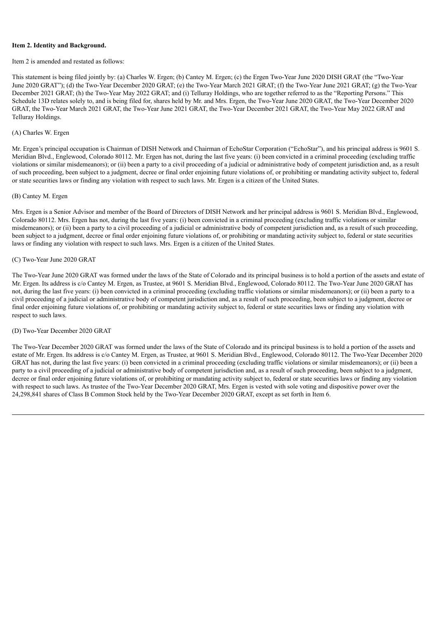#### **Item 2. Identity and Background.**

Item 2 is amended and restated as follows:

This statement is being filed jointly by: (a) Charles W. Ergen; (b) Cantey M. Ergen; (c) the Ergen Two-Year June 2020 DISH GRAT (the "Two-Year June 2020 GRAT"); (d) the Two-Year December 2020 GRAT; (e) the Two-Year March 2021 GRAT; (f) the Two-Year June 2021 GRAT; (g) the Two-Year December 2021 GRAT; (h) the Two-Year May 2022 GRAT; and (i) Telluray Holdings, who are together referred to as the "Reporting Persons." This Schedule 13D relates solely to, and is being filed for, shares held by Mr. and Mrs. Ergen, the Two-Year June 2020 GRAT, the Two-Year December 2020 GRAT, the Two-Year March 2021 GRAT, the Two-Year June 2021 GRAT, the Two-Year December 2021 GRAT, the Two-Year May 2022 GRAT and Telluray Holdings.

## (A) Charles W. Ergen

Mr. Ergen's principal occupation is Chairman of DISH Network and Chairman of EchoStar Corporation ("EchoStar"), and his principal address is 9601 S. Meridian Blvd., Englewood, Colorado 80112. Mr. Ergen has not, during the last five years: (i) been convicted in a criminal proceeding (excluding traffic violations or similar misdemeanors); or (ii) been a party to a civil proceeding of a judicial or administrative body of competent jurisdiction and, as a result of such proceeding, been subject to a judgment, decree or final order enjoining future violations of, or prohibiting or mandating activity subject to, federal or state securities laws or finding any violation with respect to such laws. Mr. Ergen is a citizen of the United States.

#### (B) Cantey M. Ergen

Mrs. Ergen is a Senior Advisor and member of the Board of Directors of DISH Network and her principal address is 9601 S. Meridian Blvd., Englewood, Colorado 80112. Mrs. Ergen has not, during the last five years: (i) been convicted in a criminal proceeding (excluding traffic violations or similar misdemeanors); or (ii) been a party to a civil proceeding of a judicial or administrative body of competent jurisdiction and, as a result of such proceeding, been subject to a judgment, decree or final order enjoining future violations of, or prohibiting or mandating activity subject to, federal or state securities laws or finding any violation with respect to such laws. Mrs. Ergen is a citizen of the United States.

#### (C) Two-Year June 2020 GRAT

The Two-Year June 2020 GRAT was formed under the laws of the State of Colorado and its principal business is to hold a portion of the assets and estate of Mr. Ergen. Its address is c/o Cantey M. Ergen, as Trustee, at 9601 S. Meridian Blvd., Englewood, Colorado 80112. The Two-Year June 2020 GRAT has not, during the last five years: (i) been convicted in a criminal proceeding (excluding traffic violations or similar misdemeanors); or (ii) been a party to a civil proceeding of a judicial or administrative body of competent jurisdiction and, as a result of such proceeding, been subject to a judgment, decree or final order enjoining future violations of, or prohibiting or mandating activity subject to, federal or state securities laws or finding any violation with respect to such laws.

#### (D) Two-Year December 2020 GRAT

The Two-Year December 2020 GRAT was formed under the laws of the State of Colorado and its principal business is to hold a portion of the assets and estate of Mr. Ergen. Its address is c/o Cantey M. Ergen, as Trustee, at 9601 S. Meridian Blvd., Englewood, Colorado 80112. The Two-Year December 2020 GRAT has not, during the last five years: (i) been convicted in a criminal proceeding (excluding traffic violations or similar misdemeanors); or (ii) been a party to a civil proceeding of a judicial or administrative body of competent jurisdiction and, as a result of such proceeding, been subject to a judgment, decree or final order enjoining future violations of, or prohibiting or mandating activity subject to, federal or state securities laws or finding any violation with respect to such laws. As trustee of the Two-Year December 2020 GRAT, Mrs. Ergen is vested with sole voting and dispositive power over the 24,298,841 shares of Class B Common Stock held by the Two-Year December 2020 GRAT, except as set forth in Item 6.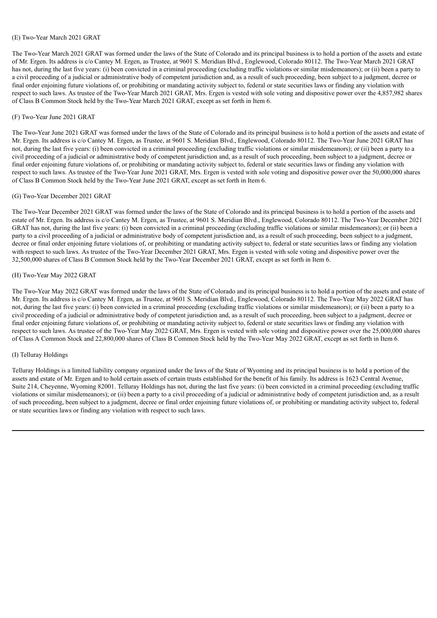#### (E) Two-Year March 2021 GRAT

The Two-Year March 2021 GRAT was formed under the laws of the State of Colorado and its principal business is to hold a portion of the assets and estate of Mr. Ergen. Its address is c/o Cantey M. Ergen, as Trustee, at 9601 S. Meridian Blvd., Englewood, Colorado 80112. The Two-Year March 2021 GRAT has not, during the last five years: (i) been convicted in a criminal proceeding (excluding traffic violations or similar misdemeanors); or (ii) been a party to a civil proceeding of a judicial or administrative body of competent jurisdiction and, as a result of such proceeding, been subject to a judgment, decree or final order enjoining future violations of, or prohibiting or mandating activity subject to, federal or state securities laws or finding any violation with respect to such laws. As trustee of the Two-Year March 2021 GRAT, Mrs. Ergen is vested with sole voting and dispositive power over the 4,857,982 shares of Class B Common Stock held by the Two-Year March 2021 GRAT, except as set forth in Item 6.

#### (F) Two-Year June 2021 GRAT

The Two-Year June 2021 GRAT was formed under the laws of the State of Colorado and its principal business is to hold a portion of the assets and estate of Mr. Ergen. Its address is c/o Cantey M. Ergen, as Trustee, at 9601 S. Meridian Blvd., Englewood, Colorado 80112. The Two-Year June 2021 GRAT has not, during the last five years: (i) been convicted in a criminal proceeding (excluding traffic violations or similar misdemeanors); or (ii) been a party to a civil proceeding of a judicial or administrative body of competent jurisdiction and, as a result of such proceeding, been subject to a judgment, decree or final order enjoining future violations of, or prohibiting or mandating activity subject to, federal or state securities laws or finding any violation with respect to such laws. As trustee of the Two-Year June 2021 GRAT, Mrs. Ergen is vested with sole voting and dispositive power over the 50,000,000 shares of Class B Common Stock held by the Two-Year June 2021 GRAT, except as set forth in Item 6.

#### (G) Two-Year December 2021 GRAT

The Two-Year December 2021 GRAT was formed under the laws of the State of Colorado and its principal business is to hold a portion of the assets and estate of Mr. Ergen. Its address is c/o Cantey M. Ergen, as Trustee, at 9601 S. Meridian Blvd., Englewood, Colorado 80112. The Two-Year December 2021 GRAT has not, during the last five years: (i) been convicted in a criminal proceeding (excluding traffic violations or similar misdemeanors); or (ii) been a party to a civil proceeding of a judicial or administrative body of competent jurisdiction and, as a result of such proceeding, been subject to a judgment, decree or final order enjoining future violations of, or prohibiting or mandating activity subject to, federal or state securities laws or finding any violation with respect to such laws. As trustee of the Two-Year December 2021 GRAT, Mrs. Ergen is vested with sole voting and dispositive power over the 32,500,000 shares of Class B Common Stock held by the Two-Year December 2021 GRAT, except as set forth in Item 6.

#### (H) Two-Year May 2022 GRAT

The Two-Year May 2022 GRAT was formed under the laws of the State of Colorado and its principal business is to hold a portion of the assets and estate of Mr. Ergen. Its address is c/o Cantey M. Ergen, as Trustee, at 9601 S. Meridian Blvd., Englewood, Colorado 80112. The Two-Year May 2022 GRAT has not, during the last five years: (i) been convicted in a criminal proceeding (excluding traffic violations or similar misdemeanors); or (ii) been a party to a civil proceeding of a judicial or administrative body of competent jurisdiction and, as a result of such proceeding, been subject to a judgment, decree or final order enjoining future violations of, or prohibiting or mandating activity subject to, federal or state securities laws or finding any violation with respect to such laws. As trustee of the Two-Year May 2022 GRAT, Mrs. Ergen is vested with sole voting and dispositive power over the 25,000,000 shares of Class A Common Stock and 22,800,000 shares of Class B Common Stock held by the Two-Year May 2022 GRAT, except as set forth in Item 6.

#### (I) Telluray Holdings

Telluray Holdings is a limited liability company organized under the laws of the State of Wyoming and its principal business is to hold a portion of the assets and estate of Mr. Ergen and to hold certain assets of certain trusts established for the benefit of his family. Its address is 1623 Central Avenue, Suite 214, Cheyenne, Wyoming 82001. Telluray Holdings has not, during the last five years: (i) been convicted in a criminal proceeding (excluding traffic violations or similar misdemeanors); or (ii) been a party to a civil proceeding of a judicial or administrative body of competent jurisdiction and, as a result of such proceeding, been subject to a judgment, decree or final order enjoining future violations of, or prohibiting or mandating activity subject to, federal or state securities laws or finding any violation with respect to such laws.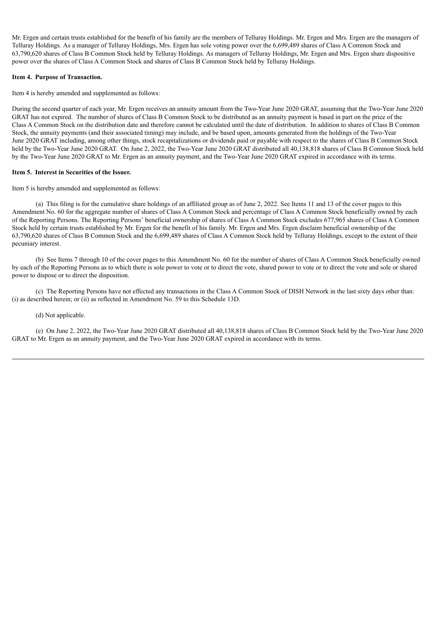Mr. Ergen and certain trusts established for the benefit of his family are the members of Telluray Holdings. Mr. Ergen and Mrs. Ergen are the managers of Telluray Holdings. As a manager of Telluray Holdings, Mrs. Ergen has sole voting power over the 6,699,489 shares of Class A Common Stock and 63,790,620 shares of Class B Common Stock held by Telluray Holdings. As managers of Telluray Holdings, Mr. Ergen and Mrs. Ergen share dispositive power over the shares of Class A Common Stock and shares of Class B Common Stock held by Telluray Holdings.

#### **Item 4. Purpose of Transaction.**

Item 4 is hereby amended and supplemented as follows:

During the second quarter of each year, Mr. Ergen receives an annuity amount from the Two-Year June 2020 GRAT, assuming that the Two-Year June 2020 GRAT has not expired. The number of shares of Class B Common Stock to be distributed as an annuity payment is based in part on the price of the Class A Common Stock on the distribution date and therefore cannot be calculated until the date of distribution. In addition to shares of Class B Common Stock, the annuity payments (and their associated timing) may include, and be based upon, amounts generated from the holdings of the Two-Year June 2020 GRAT including, among other things, stock recapitalizations or dividends paid or payable with respect to the shares of Class B Common Stock held by the Two-Year June 2020 GRAT. On June 2, 2022, the Two-Year June 2020 GRAT distributed all 40,138,818 shares of Class B Common Stock held by the Two-Year June 2020 GRAT to Mr. Ergen as an annuity payment, and the Two-Year June 2020 GRAT expired in accordance with its terms.

#### **Item 5. Interest in Securities of the Issuer.**

Item 5 is hereby amended and supplemented as follows:

(a) This filing is for the cumulative share holdings of an affiliated group as of June 2, 2022. See Items 11 and 13 of the cover pages to this Amendment No. 60 for the aggregate number of shares of Class A Common Stock and percentage of Class A Common Stock beneficially owned by each of the Reporting Persons. The Reporting Persons' beneficial ownership of shares of Class A Common Stock excludes 677,965 shares of Class A Common Stock held by certain trusts established by Mr. Ergen for the benefit of his family. Mr. Ergen and Mrs. Ergen disclaim beneficial ownership of the 63,790,620 shares of Class B Common Stock and the 6,699,489 shares of Class A Common Stock held by Telluray Holdings, except to the extent of their pecuniary interest.

(b) See Items 7 through 10 of the cover pages to this Amendment No. 60 for the number of shares of Class A Common Stock beneficially owned by each of the Reporting Persons as to which there is sole power to vote or to direct the vote, shared power to vote or to direct the vote and sole or shared power to dispose or to direct the disposition.

(c) The Reporting Persons have not effected any transactions in the Class A Common Stock of DISH Network in the last sixty days other than: (i) as described herein; or (ii) as reflected in Amendment No. 59 to this Schedule 13D.

#### (d) Not applicable.

(e) On June 2, 2022, the Two-Year June 2020 GRAT distributed all 40,138,818 shares of Class B Common Stock held by the Two-Year June 2020 GRAT to Mr. Ergen as an annuity payment, and the Two-Year June 2020 GRAT expired in accordance with its terms.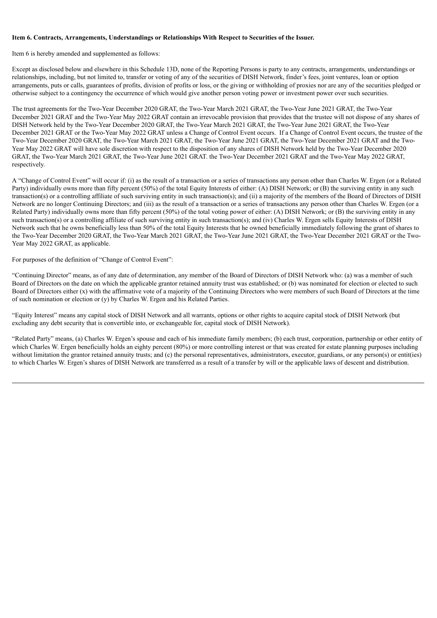#### **Item 6. Contracts, Arrangements, Understandings or Relationships With Respect to Securities of the Issuer.**

Item 6 is hereby amended and supplemented as follows:

Except as disclosed below and elsewhere in this Schedule 13D, none of the Reporting Persons is party to any contracts, arrangements, understandings or relationships, including, but not limited to, transfer or voting of any of the securities of DISH Network, finder's fees, joint ventures, loan or option arrangements, puts or calls, guarantees of profits, division of profits or loss, or the giving or withholding of proxies nor are any of the securities pledged or otherwise subject to a contingency the occurrence of which would give another person voting power or investment power over such securities.

The trust agreements for the Two-Year December 2020 GRAT, the Two-Year March 2021 GRAT, the Two-Year June 2021 GRAT, the Two-Year December 2021 GRAT and the Two-Year May 2022 GRAT contain an irrevocable provision that provides that the trustee will not dispose of any shares of DISH Network held by the Two-Year December 2020 GRAT, the Two-Year March 2021 GRAT, the Two-Year June 2021 GRAT, the Two-Year December 2021 GRAT or the Two-Year May 2022 GRAT unless a Change of Control Event occurs. If a Change of Control Event occurs, the trustee of the Two-Year December 2020 GRAT, the Two-Year March 2021 GRAT, the Two-Year June 2021 GRAT, the Two-Year December 2021 GRAT and the Two-Year May 2022 GRAT will have sole discretion with respect to the disposition of any shares of DISH Network held by the Two-Year December 2020 GRAT, the Two-Year March 2021 GRAT, the Two-Year June 2021 GRAT. the Two-Year December 2021 GRAT and the Two-Year May 2022 GRAT, respectively.

A "Change of Control Event" will occur if: (i) as the result of a transaction or a series of transactions any person other than Charles W. Ergen (or a Related Party) individually owns more than fifty percent (50%) of the total Equity Interests of either: (A) DISH Network; or (B) the surviving entity in any such transaction(s) or a controlling affiliate of such surviving entity in such transaction(s); and (ii) a majority of the members of the Board of Directors of DISH Network are no longer Continuing Directors; and (iii) as the result of a transaction or a series of transactions any person other than Charles W. Ergen (or a Related Party) individually owns more than fifty percent  $(50\%)$  of the total voting power of either: (A) DISH Network; or (B) the surviving entity in any such transaction(s) or a controlling affiliate of such surviving entity in such transaction(s); and (iv) Charles W. Ergen sells Equity Interests of DISH Network such that he owns beneficially less than 50% of the total Equity Interests that he owned beneficially immediately following the grant of shares to the Two-Year December 2020 GRAT, the Two-Year March 2021 GRAT, the Two-Year June 2021 GRAT, the Two-Year December 2021 GRAT or the Two-Year May 2022 GRAT, as applicable.

For purposes of the definition of "Change of Control Event":

"Continuing Director" means, as of any date of determination, any member of the Board of Directors of DISH Network who: (a) was a member of such Board of Directors on the date on which the applicable grantor retained annuity trust was established; or (b) was nominated for election or elected to such Board of Directors either (x) with the affirmative vote of a majority of the Continuing Directors who were members of such Board of Directors at the time of such nomination or election or (y) by Charles W. Ergen and his Related Parties.

"Equity Interest" means any capital stock of DISH Network and all warrants, options or other rights to acquire capital stock of DISH Network (but excluding any debt security that is convertible into, or exchangeable for, capital stock of DISH Network).

"Related Party" means, (a) Charles W. Ergen's spouse and each of his immediate family members; (b) each trust, corporation, partnership or other entity of which Charles W. Ergen beneficially holds an eighty percent (80%) or more controlling interest or that was created for estate planning purposes including without limitation the grantor retained annuity trusts; and (c) the personal representatives, administrators, executor, guardians, or any person(s) or entit(ies) to which Charles W. Ergen's shares of DISH Network are transferred as a result of a transfer by will or the applicable laws of descent and distribution.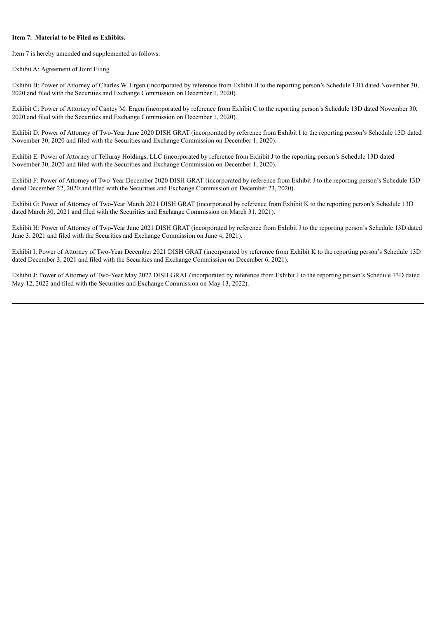#### **Item 7. Material to be Filed as Exhibits.**

Item 7 is hereby amended and supplemented as follows:

Exhibit A: Agreement of Joint Filing.

Exhibit B: Power of Attorney of Charles W. Ergen (incorporated by reference from Exhibit B to the reporting person's Schedule 13D dated November 30, 2020 and filed with the Securities and Exchange Commission on December 1, 2020).

Exhibit C: Power of Attorney of Cantey M. Ergen (incorporated by reference from Exhibit C to the reporting person's Schedule 13D dated November 30, 2020 and filed with the Securities and Exchange Commission on December 1, 2020).

Exhibit D: Power of Attorney of Two-Year June 2020 DISH GRAT (incorporated by reference from Exhibit I to the reporting person's Schedule 13D dated November 30, 2020 and filed with the Securities and Exchange Commission on December 1, 2020).

Exhibit E: Power of Attorney of Telluray Holdings, LLC (incorporated by reference from Exhibit J to the reporting person's Schedule 13D dated November 30, 2020 and filed with the Securities and Exchange Commission on December 1, 2020).

Exhibit F: Power of Attorney of Two-Year December 2020 DISH GRAT (incorporated by reference from Exhibit J to the reporting person's Schedule 13D dated December 22, 2020 and filed with the Securities and Exchange Commission on December 23, 2020).

Exhibit G: Power of Attorney of Two-Year March 2021 DISH GRAT (incorporated by reference from Exhibit K to the reporting person's Schedule 13D dated March 30, 2021 and filed with the Securities and Exchange Commission on March 31, 2021).

Exhibit H: Power of Attorney of Two-Year June 2021 DISH GRAT (incorporated by reference from Exhibit J to the reporting person's Schedule 13D dated June 3, 2021 and filed with the Securities and Exchange Commission on June 4, 2021).

Exhibit I: Power of Attorney of Two-Year December 2021 DISH GRAT (incorporated by reference from Exhibit K to the reporting person's Schedule 13D dated December 3, 2021 and filed with the Securities and Exchange Commission on December 6, 2021).

Exhibit J: Power of Attorney of Two-Year May 2022 DISH GRAT (incorporated by reference from Exhibit J to the reporting person's Schedule 13D dated May 12, 2022 and filed with the Securities and Exchange Commission on May 13, 2022).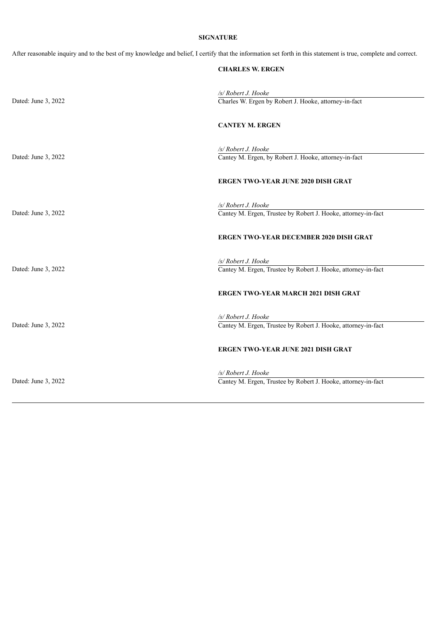## **SIGNATURE**

After reasonable inquiry and to the best of my knowledge and belief, I certify that the information set forth in this statement is true, complete and correct.

|                     | <b>CHARLES W. ERGEN</b>                                                              |
|---------------------|--------------------------------------------------------------------------------------|
|                     |                                                                                      |
|                     | /s/ Robert J. Hooke                                                                  |
| Dated: June 3, 2022 | Charles W. Ergen by Robert J. Hooke, attorney-in-fact                                |
|                     |                                                                                      |
|                     | <b>CANTEY M. ERGEN</b>                                                               |
|                     |                                                                                      |
|                     | /s/ Robert J. Hooke                                                                  |
| Dated: June 3, 2022 | Cantey M. Ergen, by Robert J. Hooke, attorney-in-fact                                |
|                     |                                                                                      |
|                     | <b>ERGEN TWO-YEAR JUNE 2020 DISH GRAT</b>                                            |
|                     |                                                                                      |
|                     | /s/ Robert J. Hooke                                                                  |
| Dated: June 3, 2022 | Cantey M. Ergen, Trustee by Robert J. Hooke, attorney-in-fact                        |
|                     |                                                                                      |
|                     | <b>ERGEN TWO-YEAR DECEMBER 2020 DISH GRAT</b>                                        |
|                     |                                                                                      |
|                     |                                                                                      |
|                     | /s/ Robert J. Hooke                                                                  |
| Dated: June 3, 2022 | Cantey M. Ergen, Trustee by Robert J. Hooke, attorney-in-fact                        |
|                     |                                                                                      |
|                     | <b>ERGEN TWO-YEAR MARCH 2021 DISH GRAT</b>                                           |
|                     |                                                                                      |
|                     | /s/ Robert J. Hooke                                                                  |
| Dated: June 3, 2022 | Cantey M. Ergen, Trustee by Robert J. Hooke, attorney-in-fact                        |
|                     |                                                                                      |
|                     | <b>ERGEN TWO-YEAR JUNE 2021 DISH GRAT</b>                                            |
|                     |                                                                                      |
|                     |                                                                                      |
| Dated: June 3, 2022 | /s/ Robert J. Hooke<br>Cantey M. Ergen, Trustee by Robert J. Hooke, attorney-in-fact |
|                     |                                                                                      |
|                     |                                                                                      |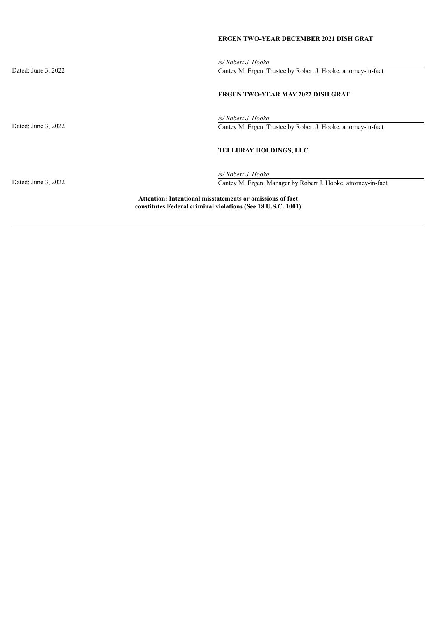## **ERGEN TWO-YEAR DECEMBER 2021 DISH GRAT**

*/s/ Robert J. Hooke* Dated: June 3, 2022 Cantey M. Ergen, Trustee by Robert J. Hooke, attorney-in-fact **ERGEN TWO-YEAR MAY 2022 DISH GRAT** */s/ Robert J. Hooke* Dated: June 3, 2022 Cantey M. Ergen, Trustee by Robert J. Hooke, attorney-in-fact **TELLURAY HOLDINGS, LLC** */s/ Robert J. Hooke* Dated: June 3, 2022 Cantey M. Ergen, Manager by Robert J. Hooke, attorney-in-fact **Attention: Intentional misstatements or omissions of fact constitutes Federal criminal violations (See 18 U.S.C. 1001)**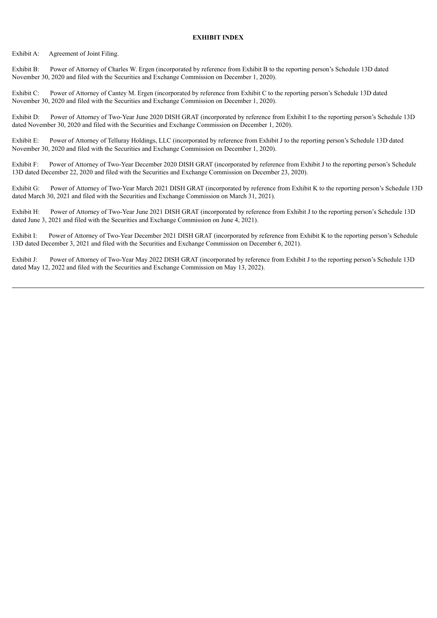#### **EXHIBIT INDEX**

Exhibit A: Agreement of Joint Filing.

Exhibit B: Power of Attorney of Charles W. Ergen (incorporated by reference from Exhibit B to the reporting person's Schedule 13D dated November 30, 2020 and filed with the Securities and Exchange Commission on December 1, 2020).

Exhibit C: Power of Attorney of Cantey M. Ergen (incorporated by reference from Exhibit C to the reporting person's Schedule 13D dated November 30, 2020 and filed with the Securities and Exchange Commission on December 1, 2020).

Exhibit D: Power of Attorney of Two-Year June 2020 DISH GRAT (incorporated by reference from Exhibit I to the reporting person's Schedule 13D dated November 30, 2020 and filed with the Securities and Exchange Commission on December 1, 2020).

Exhibit E: Power of Attorney of Telluray Holdings, LLC (incorporated by reference from Exhibit J to the reporting person's Schedule 13D dated November 30, 2020 and filed with the Securities and Exchange Commission on December 1, 2020).

Exhibit F: Power of Attorney of Two-Year December 2020 DISH GRAT (incorporated by reference from Exhibit J to the reporting person's Schedule 13D dated December 22, 2020 and filed with the Securities and Exchange Commission on December 23, 2020).

Exhibit G: Power of Attorney of Two-Year March 2021 DISH GRAT (incorporated by reference from Exhibit K to the reporting person's Schedule 13D dated March 30, 2021 and filed with the Securities and Exchange Commission on March 31, 2021).

Exhibit H: Power of Attorney of Two-Year June 2021 DISH GRAT (incorporated by reference from Exhibit J to the reporting person's Schedule 13D dated June 3, 2021 and filed with the Securities and Exchange Commission on June 4, 2021).

Exhibit I: Power of Attorney of Two-Year December 2021 DISH GRAT (incorporated by reference from Exhibit K to the reporting person's Schedule 13D dated December 3, 2021 and filed with the Securities and Exchange Commission on December 6, 2021).

Exhibit J: Power of Attorney of Two-Year May 2022 DISH GRAT (incorporated by reference from Exhibit J to the reporting person's Schedule 13D dated May 12, 2022 and filed with the Securities and Exchange Commission on May 13, 2022).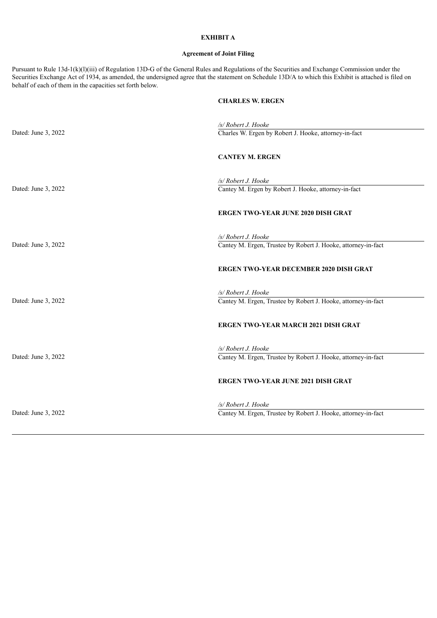### **EXHIBIT A**

#### **Agreement of Joint Filing**

Pursuant to Rule 13d-1(k)(l)(iii) of Regulation 13D-G of the General Rules and Regulations of the Securities and Exchange Commission under the Securities Exchange Act of 1934, as amended, the undersigned agree that the statement on Schedule 13D/A to which this Exhibit is attached is filed on behalf of each of them in the capacities set forth below.

## **CHARLES W. ERGEN**

|                     | /s/ Robert J. Hooke                                                                  |
|---------------------|--------------------------------------------------------------------------------------|
| Dated: June 3, 2022 | Charles W. Ergen by Robert J. Hooke, attorney-in-fact                                |
|                     | <b>CANTEY M. ERGEN</b>                                                               |
| Dated: June 3, 2022 | /s/ Robert J. Hooke<br>Cantey M. Ergen by Robert J. Hooke, attorney-in-fact          |
|                     | <b>ERGEN TWO-YEAR JUNE 2020 DISH GRAT</b>                                            |
| Dated: June 3, 2022 | /s/ Robert J. Hooke<br>Cantey M. Ergen, Trustee by Robert J. Hooke, attorney-in-fact |
|                     | <b>ERGEN TWO-YEAR DECEMBER 2020 DISH GRAT</b>                                        |
| Dated: June 3, 2022 | /s/ Robert J. Hooke<br>Cantey M. Ergen, Trustee by Robert J. Hooke, attorney-in-fact |
|                     | <b>ERGEN TWO-YEAR MARCH 2021 DISH GRAT</b>                                           |
| Dated: June 3, 2022 | /s/ Robert J. Hooke<br>Cantey M. Ergen, Trustee by Robert J. Hooke, attorney-in-fact |
|                     | <b>ERGEN TWO-YEAR JUNE 2021 DISH GRAT</b>                                            |
| Dated: June 3, 2022 | /s/ Robert J. Hooke<br>Cantey M. Ergen, Trustee by Robert J. Hooke, attorney-in-fact |